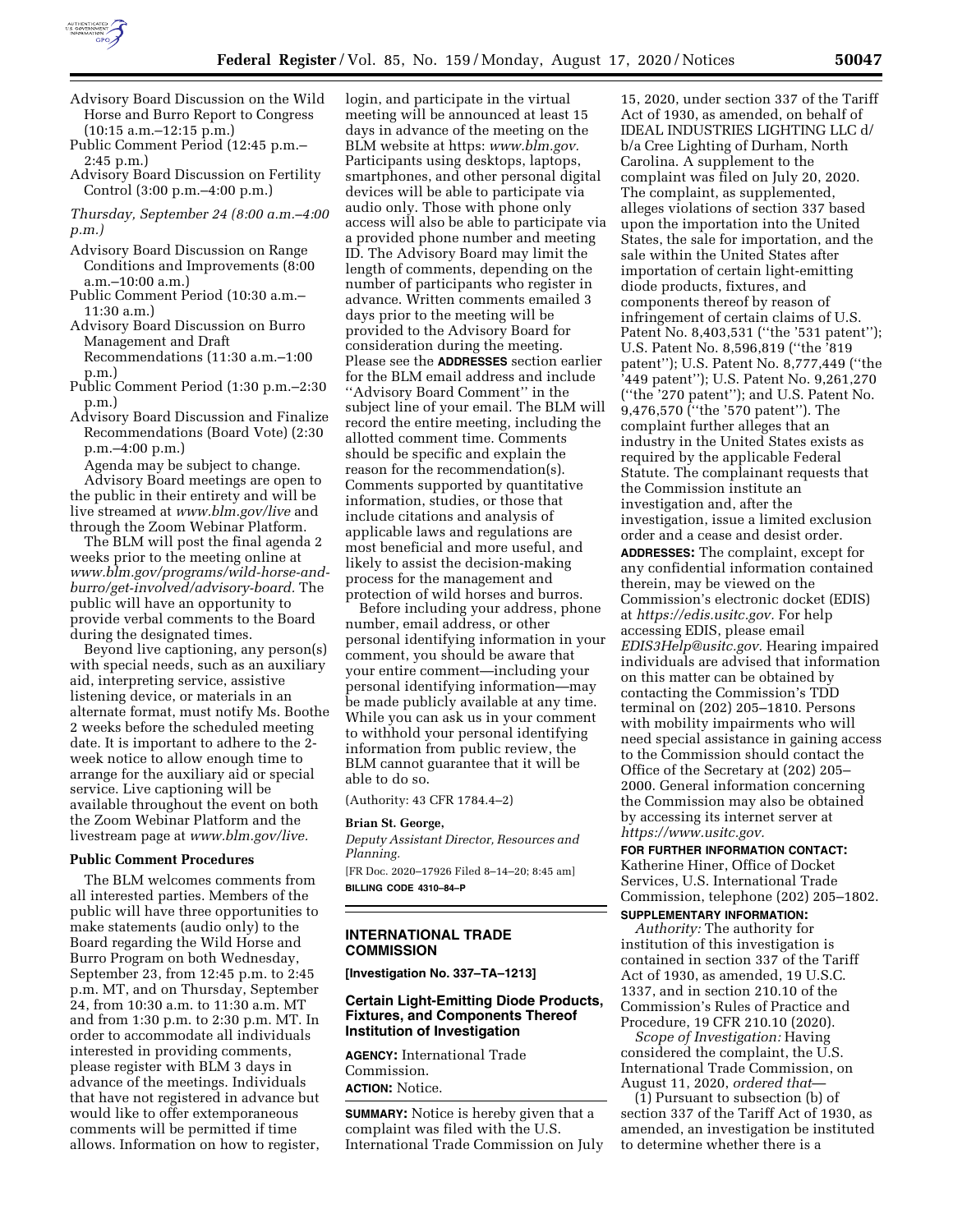

- Advisory Board Discussion on the Wild Horse and Burro Report to Congress (10:15 a.m.–12:15 p.m.)
- Public Comment Period (12:45 p.m.– 2:45 p.m.)
- Advisory Board Discussion on Fertility Control (3:00 p.m.–4:00 p.m.)
- *Thursday, September 24 (8:00 a.m.–4:00 p.m.)*
- Advisory Board Discussion on Range Conditions and Improvements (8:00 a.m.–10:00 a.m.)
- Public Comment Period (10:30 a.m.– 11:30 a.m.)
- Advisory Board Discussion on Burro Management and Draft Recommendations (11:30 a.m.–1:00 p.m.)
- Public Comment Period (1:30 p.m.–2:30 p.m.)
- Advisory Board Discussion and Finalize Recommendations (Board Vote) (2:30 p.m.–4:00 p.m.)

Agenda may be subject to change. Advisory Board meetings are open to the public in their entirety and will be live streamed at *[www.blm.gov/live](http://www.blm.gov/live)* and through the Zoom Webinar Platform.

The BLM will post the final agenda 2 weeks prior to the meeting online at *[www.blm.gov/programs/wild-horse-and](http://www.blm.gov/programs/wild-horse-and-burro/get-involved/advisory-board)[burro/get-involved/advisory-board.](http://www.blm.gov/programs/wild-horse-and-burro/get-involved/advisory-board)* The public will have an opportunity to provide verbal comments to the Board during the designated times.

Beyond live captioning, any person(s) with special needs, such as an auxiliary aid, interpreting service, assistive listening device, or materials in an alternate format, must notify Ms. Boothe 2 weeks before the scheduled meeting date. It is important to adhere to the 2 week notice to allow enough time to arrange for the auxiliary aid or special service. Live captioning will be available throughout the event on both the Zoom Webinar Platform and the livestream page at *[www.blm.gov/live.](http://www.blm.gov/live)* 

#### **Public Comment Procedures**

The BLM welcomes comments from all interested parties. Members of the public will have three opportunities to make statements (audio only) to the Board regarding the Wild Horse and Burro Program on both Wednesday, September 23, from 12:45 p.m. to 2:45 p.m. MT, and on Thursday, September 24, from 10:30 a.m. to 11:30 a.m. MT and from 1:30 p.m. to 2:30 p.m. MT. In order to accommodate all individuals interested in providing comments, please register with BLM 3 days in advance of the meetings. Individuals that have not registered in advance but would like to offer extemporaneous comments will be permitted if time allows. Information on how to register,

login, and participate in the virtual meeting will be announced at least 15 days in advance of the meeting on the BLM website at https: *[www.blm.gov.](http://www.blm.gov)*  Participants using desktops, laptops, smartphones, and other personal digital devices will be able to participate via audio only. Those with phone only access will also be able to participate via a provided phone number and meeting ID. The Advisory Board may limit the length of comments, depending on the number of participants who register in advance. Written comments emailed 3 days prior to the meeting will be provided to the Advisory Board for consideration during the meeting. Please see the **ADDRESSES** section earlier for the BLM email address and include ''Advisory Board Comment'' in the subject line of your email. The BLM will record the entire meeting, including the allotted comment time. Comments should be specific and explain the reason for the recommendation(s). Comments supported by quantitative information, studies, or those that include citations and analysis of applicable laws and regulations are most beneficial and more useful, and likely to assist the decision-making process for the management and protection of wild horses and burros.

Before including your address, phone number, email address, or other personal identifying information in your comment, you should be aware that your entire comment—including your personal identifying information—may be made publicly available at any time. While you can ask us in your comment to withhold your personal identifying information from public review, the BLM cannot guarantee that it will be able to do so.

(Authority: 43 CFR 1784.4–2)

# **Brian St. George,**

*Deputy Assistant Director, Resources and Planning.* 

[FR Doc. 2020–17926 Filed 8–14–20; 8:45 am] **BILLING CODE 4310–84–P** 

## **INTERNATIONAL TRADE COMMISSION**

**[Investigation No. 337–TA–1213]** 

### **Certain Light-Emitting Diode Products, Fixtures, and Components Thereof Institution of Investigation**

**AGENCY:** International Trade Commission. **ACTION:** Notice.

**SUMMARY:** Notice is hereby given that a complaint was filed with the U.S. International Trade Commission on July

15, 2020, under section 337 of the Tariff Act of 1930, as amended, on behalf of IDEAL INDUSTRIES LIGHTING LLC d/ b/a Cree Lighting of Durham, North Carolina. A supplement to the complaint was filed on July 20, 2020. The complaint, as supplemented, alleges violations of section 337 based upon the importation into the United States, the sale for importation, and the sale within the United States after importation of certain light-emitting diode products, fixtures, and components thereof by reason of infringement of certain claims of U.S. Patent No. 8,403,531 (''the '531 patent''); U.S. Patent No. 8,596,819 (''the '819 patent''); U.S. Patent No. 8,777,449 (''the '449 patent''); U.S. Patent No. 9,261,270 (''the '270 patent''); and U.S. Patent No. 9,476,570 (''the '570 patent''). The complaint further alleges that an industry in the United States exists as required by the applicable Federal Statute. The complainant requests that the Commission institute an investigation and, after the investigation, issue a limited exclusion order and a cease and desist order.

**ADDRESSES:** The complaint, except for any confidential information contained therein, may be viewed on the Commission's electronic docket (EDIS) at *[https://edis.usitc.gov.](https://edis.usitc.gov)* For help accessing EDIS, please email *[EDIS3Help@usitc.gov.](mailto:EDIS3Help@usitc.gov)* Hearing impaired individuals are advised that information on this matter can be obtained by contacting the Commission's TDD terminal on (202) 205–1810. Persons with mobility impairments who will need special assistance in gaining access to the Commission should contact the Office of the Secretary at (202) 205– 2000. General information concerning the Commission may also be obtained by accessing its internet server at *[https://www.usitc.gov.](https://www.usitc.gov)* 

**FOR FURTHER INFORMATION CONTACT:**  Katherine Hiner, Office of Docket Services, U.S. International Trade Commission, telephone (202) 205–1802.

# **SUPPLEMENTARY INFORMATION:**

*Authority:* The authority for institution of this investigation is contained in section 337 of the Tariff Act of 1930, as amended, 19 U.S.C. 1337, and in section 210.10 of the Commission's Rules of Practice and Procedure, 19 CFR 210.10 (2020).

*Scope of Investigation:* Having considered the complaint, the U.S. International Trade Commission, on August 11, 2020, *ordered that*—

(1) Pursuant to subsection (b) of section 337 of the Tariff Act of 1930, as amended, an investigation be instituted to determine whether there is a